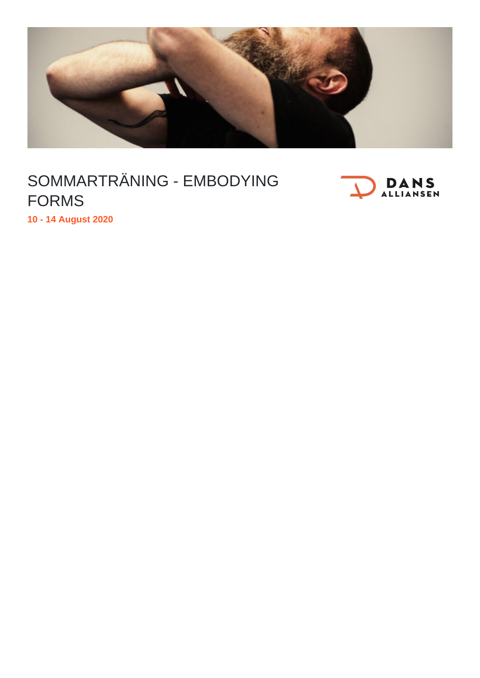

## SOMMARTRÄNING - EMBODYING FORMS



**10 - 14 August 2020**